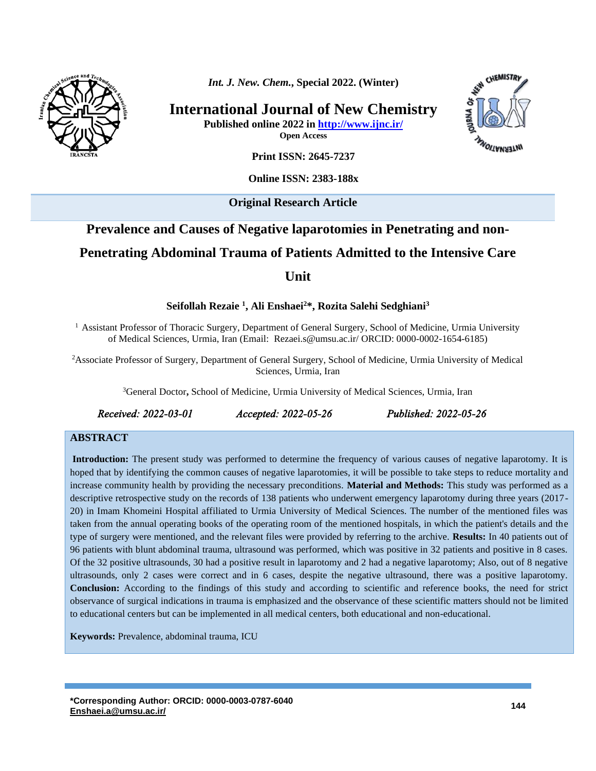

*Int. J. New. Chem.***, Special 2022. (Winter)**

**International Journal of New Chemistry Published online 2022 in<http://www.ijnc.ir/>**

INTERNATIONS

CHEMISTRY

**Open Access**

**Print ISSN: 2645-7237**

**Online ISSN: 2383-188x** 

**Original Research Article** 

# **Prevalence and Causes of Negative laparotomies in Penetrating and non-Penetrating Abdominal Trauma of Patients Admitted to the Intensive Care Unit**

**Seifollah Rezaie <sup>1</sup> , Ali Enshaei<sup>2</sup>\*, Rozita Salehi Sedghiani<sup>3</sup>**

<sup>1</sup> Assistant Professor of Thoracic Surgery, Department of General Surgery, School of Medicine, Urmia University of Medical Sciences, Urmia, Iran (Email: [Rezaei.s@umsu.ac.ir/](mailto:%20Rezaei.s@umsu.ac.ir/) ORCID: 0000-0002-1654-6185)

<sup>2</sup>Associate Professor of Surgery, Department of General Surgery, School of Medicine, Urmia University of Medical Sciences, Urmia, Iran

<sup>3</sup>General Doctor**,** School of Medicine, Urmia University of Medical Sciences, Urmia, Iran

*Received: 2022-03-01 Accepted: 2022-05-26 Published: 2022-05-26* 

#### **ABSTRACT**

**Introduction:** The present study was performed to determine the frequency of various causes of negative laparotomy. It is hoped that by identifying the common causes of negative laparotomies, it will be possible to take steps to reduce mortality and increase community health by providing the necessary preconditions. **Material and Methods:** This study was performed as a descriptive retrospective study on the records of 138 patients who underwent emergency laparotomy during three years (2017- 20) in Imam Khomeini Hospital affiliated to Urmia University of Medical Sciences. The number of the mentioned files was taken from the annual operating books of the operating room of the mentioned hospitals, in which the patient's details and the type of surgery were mentioned, and the relevant files were provided by referring to the archive. **Results:** In 40 patients out of 96 patients with blunt abdominal trauma, ultrasound was performed, which was positive in 32 patients and positive in 8 cases. Of the 32 positive ultrasounds, 30 had a positive result in laparotomy and 2 had a negative laparotomy; Also, out of 8 negative ultrasounds, only 2 cases were correct and in 6 cases, despite the negative ultrasound, there was a positive laparotomy. **Conclusion:** According to the findings of this study and according to scientific and reference books, the need for strict observance of surgical indications in trauma is emphasized and the observance of these scientific matters should not be limited to educational centers but can be implemented in all medical centers, both educational and non-educational.

**Keywords:** Prevalence, abdominal trauma, ICU

**\*Corresponding Author: ORCID: 0000-0003-0787-6040 [Enshaei.a@umsu.ac.ir/](mailto:%20Rezaei.s@umsu.ac.ir/) <sup>144</sup>**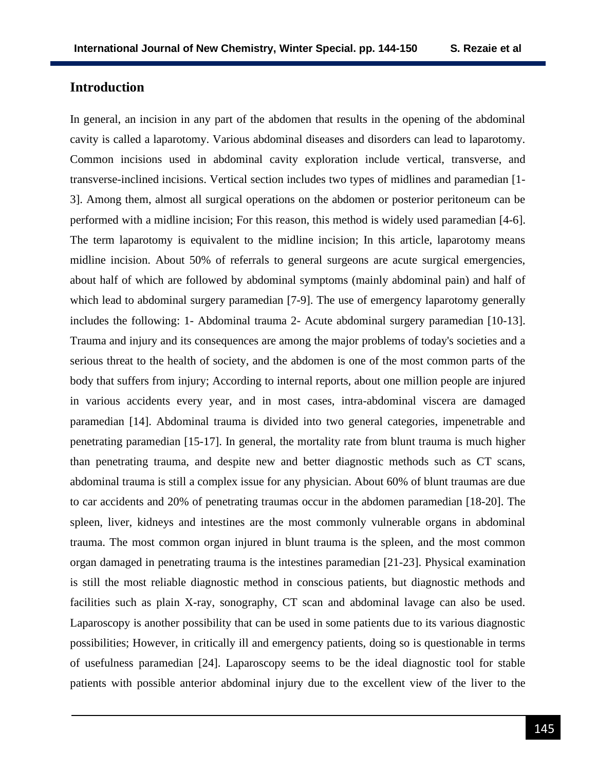## **Introduction**

In general, an incision in any part of the abdomen that results in the opening of the abdominal cavity is called a laparotomy. Various abdominal diseases and disorders can lead to laparotomy. Common incisions used in abdominal cavity exploration include vertical, transverse, and transverse-inclined incisions. Vertical section includes two types of midlines and paramedian [1- 3]. Among them, almost all surgical operations on the abdomen or posterior peritoneum can be performed with a midline incision; For this reason, this method is widely used paramedian [4-6]. The term laparotomy is equivalent to the midline incision; In this article, laparotomy means midline incision. About 50% of referrals to general surgeons are acute surgical emergencies, about half of which are followed by abdominal symptoms (mainly abdominal pain) and half of which lead to abdominal surgery paramedian [7-9]. The use of emergency laparotomy generally includes the following: 1- Abdominal trauma 2- Acute abdominal surgery paramedian [10-13]. Trauma and injury and its consequences are among the major problems of today's societies and a serious threat to the health of society, and the abdomen is one of the most common parts of the body that suffers from injury; According to internal reports, about one million people are injured in various accidents every year, and in most cases, intra-abdominal viscera are damaged paramedian [14]. Abdominal trauma is divided into two general categories, impenetrable and penetrating paramedian [15-17]. In general, the mortality rate from blunt trauma is much higher than penetrating trauma, and despite new and better diagnostic methods such as CT scans, abdominal trauma is still a complex issue for any physician. About 60% of blunt traumas are due to car accidents and 20% of penetrating traumas occur in the abdomen paramedian [18-20]. The spleen, liver, kidneys and intestines are the most commonly vulnerable organs in abdominal trauma. The most common organ injured in blunt trauma is the spleen, and the most common organ damaged in penetrating trauma is the intestines paramedian [21-23]. Physical examination is still the most reliable diagnostic method in conscious patients, but diagnostic methods and facilities such as plain X-ray, sonography, CT scan and abdominal lavage can also be used. Laparoscopy is another possibility that can be used in some patients due to its various diagnostic possibilities; However, in critically ill and emergency patients, doing so is questionable in terms of usefulness paramedian [24]. Laparoscopy seems to be the ideal diagnostic tool for stable patients with possible anterior abdominal injury due to the excellent view of the liver to the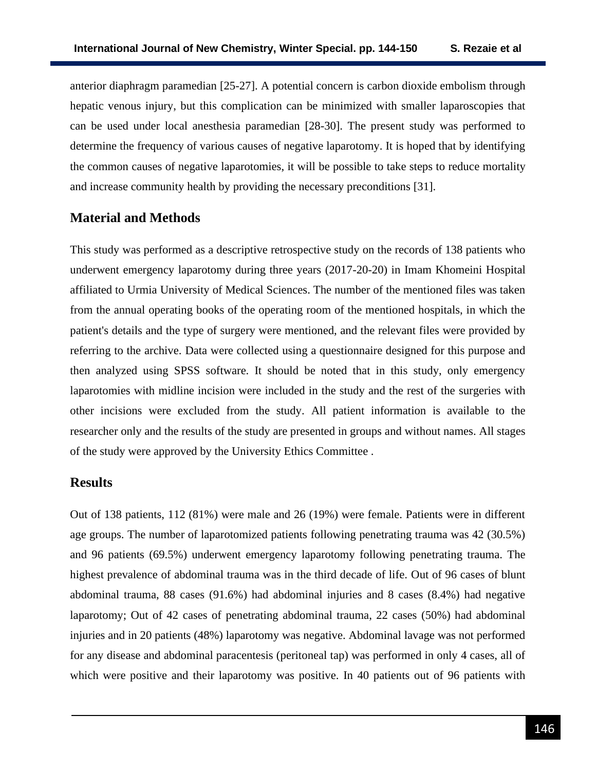anterior diaphragm paramedian [25-27]. A potential concern is carbon dioxide embolism through hepatic venous injury, but this complication can be minimized with smaller laparoscopies that can be used under local anesthesia paramedian [28-30]. The present study was performed to determine the frequency of various causes of negative laparotomy. It is hoped that by identifying the common causes of negative laparotomies, it will be possible to take steps to reduce mortality and increase community health by providing the necessary preconditions [31].

#### **Material and Methods**

This study was performed as a descriptive retrospective study on the records of 138 patients who underwent emergency laparotomy during three years (2017-20-20) in Imam Khomeini Hospital affiliated to Urmia University of Medical Sciences. The number of the mentioned files was taken from the annual operating books of the operating room of the mentioned hospitals, in which the patient's details and the type of surgery were mentioned, and the relevant files were provided by referring to the archive. Data were collected using a questionnaire designed for this purpose and then analyzed using SPSS software. It should be noted that in this study, only emergency laparotomies with midline incision were included in the study and the rest of the surgeries with other incisions were excluded from the study. All patient information is available to the researcher only and the results of the study are presented in groups and without names. All stages of the study were approved by the University Ethics Committee .

# **Results**

Out of 138 patients, 112 (81%) were male and 26 (19%) were female. Patients were in different age groups. The number of laparotomized patients following penetrating trauma was 42 (30.5%) and 96 patients (69.5%) underwent emergency laparotomy following penetrating trauma. The highest prevalence of abdominal trauma was in the third decade of life. Out of 96 cases of blunt abdominal trauma, 88 cases (91.6%) had abdominal injuries and 8 cases (8.4%) had negative laparotomy; Out of 42 cases of penetrating abdominal trauma, 22 cases (50%) had abdominal injuries and in 20 patients (48%) laparotomy was negative. Abdominal lavage was not performed for any disease and abdominal paracentesis (peritoneal tap) was performed in only 4 cases, all of which were positive and their laparotomy was positive. In 40 patients out of 96 patients with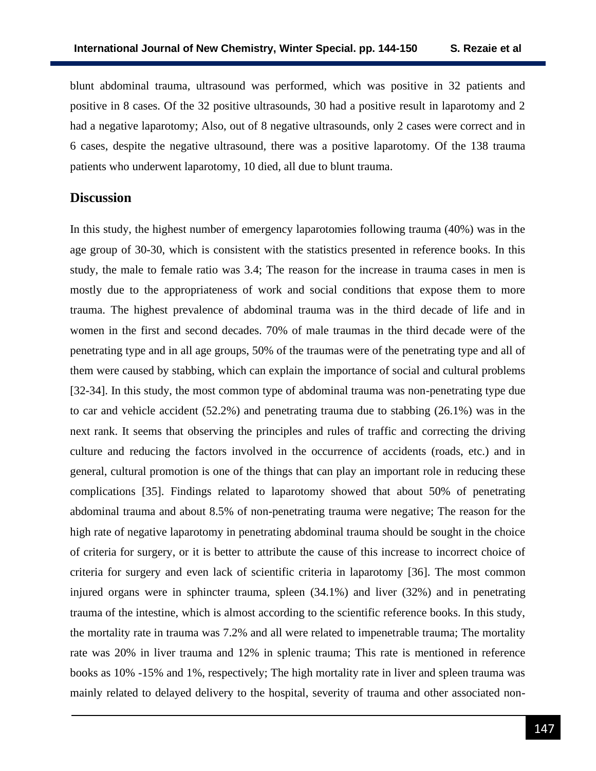blunt abdominal trauma, ultrasound was performed, which was positive in 32 patients and positive in 8 cases. Of the 32 positive ultrasounds, 30 had a positive result in laparotomy and 2 had a negative laparotomy; Also, out of 8 negative ultrasounds, only 2 cases were correct and in 6 cases, despite the negative ultrasound, there was a positive laparotomy. Of the 138 trauma patients who underwent laparotomy, 10 died, all due to blunt trauma.

## **Discussion**

In this study, the highest number of emergency laparotomies following trauma (40%) was in the age group of 30-30, which is consistent with the statistics presented in reference books. In this study, the male to female ratio was 3.4; The reason for the increase in trauma cases in men is mostly due to the appropriateness of work and social conditions that expose them to more trauma. The highest prevalence of abdominal trauma was in the third decade of life and in women in the first and second decades. 70% of male traumas in the third decade were of the penetrating type and in all age groups, 50% of the traumas were of the penetrating type and all of them were caused by stabbing, which can explain the importance of social and cultural problems [32-34]. In this study, the most common type of abdominal trauma was non-penetrating type due to car and vehicle accident (52.2%) and penetrating trauma due to stabbing (26.1%) was in the next rank. It seems that observing the principles and rules of traffic and correcting the driving culture and reducing the factors involved in the occurrence of accidents (roads, etc.) and in general, cultural promotion is one of the things that can play an important role in reducing these complications [35]. Findings related to laparotomy showed that about 50% of penetrating abdominal trauma and about 8.5% of non-penetrating trauma were negative; The reason for the high rate of negative laparotomy in penetrating abdominal trauma should be sought in the choice of criteria for surgery, or it is better to attribute the cause of this increase to incorrect choice of criteria for surgery and even lack of scientific criteria in laparotomy [36]. The most common injured organs were in sphincter trauma, spleen (34.1%) and liver (32%) and in penetrating trauma of the intestine, which is almost according to the scientific reference books. In this study, the mortality rate in trauma was 7.2% and all were related to impenetrable trauma; The mortality rate was 20% in liver trauma and 12% in splenic trauma; This rate is mentioned in reference books as 10% -15% and 1%, respectively; The high mortality rate in liver and spleen trauma was mainly related to delayed delivery to the hospital, severity of trauma and other associated non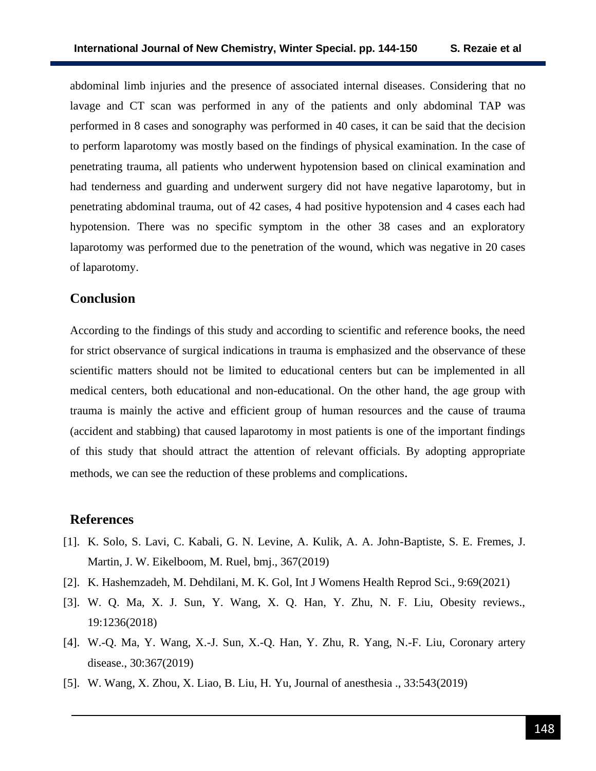abdominal limb injuries and the presence of associated internal diseases. Considering that no lavage and CT scan was performed in any of the patients and only abdominal TAP was performed in 8 cases and sonography was performed in 40 cases, it can be said that the decision to perform laparotomy was mostly based on the findings of physical examination. In the case of penetrating trauma, all patients who underwent hypotension based on clinical examination and had tenderness and guarding and underwent surgery did not have negative laparotomy, but in penetrating abdominal trauma, out of 42 cases, 4 had positive hypotension and 4 cases each had hypotension. There was no specific symptom in the other 38 cases and an exploratory laparotomy was performed due to the penetration of the wound, which was negative in 20 cases of laparotomy.

# **Conclusion**

According to the findings of this study and according to scientific and reference books, the need for strict observance of surgical indications in trauma is emphasized and the observance of these scientific matters should not be limited to educational centers but can be implemented in all medical centers, both educational and non-educational. On the other hand, the age group with trauma is mainly the active and efficient group of human resources and the cause of trauma (accident and stabbing) that caused laparotomy in most patients is one of the important findings of this study that should attract the attention of relevant officials. By adopting appropriate methods, we can see the reduction of these problems and complications.

#### **References**

- [1]. K. Solo, S. Lavi, C. Kabali, G. N. Levine, A. Kulik, A. A. John-Baptiste, S. E. Fremes, J. Martin, J. W. Eikelboom, M. Ruel, bmj., 367(2019)
- [2]. K. Hashemzadeh, M. Dehdilani, M. K. Gol, Int J Womens Health Reprod Sci., 9:69(2021)
- [3]. W. Q. Ma, X. J. Sun, Y. Wang, X. Q. Han, Y. Zhu, N. F. Liu, Obesity reviews., 19:1236(2018)
- [4]. W.-Q. Ma, Y. Wang, X.-J. Sun, X.-Q. Han, Y. Zhu, R. Yang, N.-F. Liu, Coronary artery disease., 30:367(2019)
- [5]. W. Wang, X. Zhou, X. Liao, B. Liu, H. Yu, Journal of anesthesia ., 33:543(2019)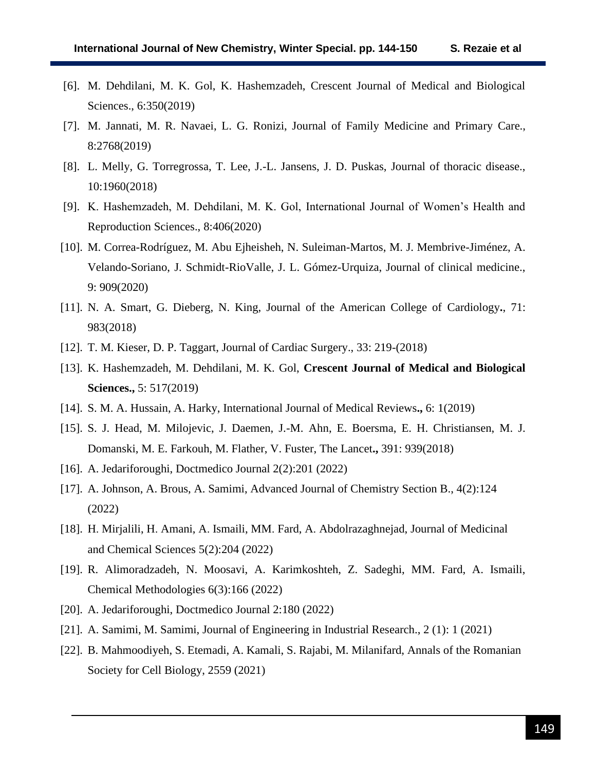- [6]. M. Dehdilani, M. K. Gol, K. Hashemzadeh, Crescent Journal of Medical and Biological Sciences., 6:350(2019)
- [7]. M. Jannati, M. R. Navaei, L. G. Ronizi, Journal of Family Medicine and Primary Care., 8:2768(2019)
- [8]. L. Melly, G. Torregrossa, T. Lee, J.-L. Jansens, J. D. Puskas, Journal of thoracic disease., 10:1960(2018)
- [9]. K. Hashemzadeh, M. Dehdilani, M. K. Gol, International Journal of Women's Health and Reproduction Sciences., 8:406(2020)
- [10]. M. Correa-Rodríguez, M. Abu Ejheisheh, N. Suleiman-Martos, M. J. Membrive-Jiménez, A. Velando-Soriano, J. Schmidt-RioValle, J. L. Gómez-Urquiza, Journal of clinical medicine., 9: 909(2020)
- [11]. N. A. Smart, G. Dieberg, N. King, Journal of the American College of Cardiology**.**, 71: 983(2018)
- [12]. T. M. Kieser, D. P. Taggart, Journal of Cardiac Surgery., 33: 219-(2018)
- [13]. K. Hashemzadeh, M. Dehdilani, M. K. Gol, **Crescent Journal of Medical and Biological Sciences.,** 5: 517(2019)
- [14]. S. M. A. Hussain, A. Harky, International Journal of Medical Reviews**.,** 6: 1(2019)
- [15]. S. J. Head, M. Milojevic, J. Daemen, J.-M. Ahn, E. Boersma, E. H. Christiansen, M. J. Domanski, M. E. Farkouh, M. Flather, V. Fuster, The Lancet**.,** 391: 939(2018)
- [16]. A. Jedariforoughi, Doctmedico Journal 2(2):201 (2022)
- [17]. A. Johnson, A. Brous, A. Samimi, Advanced Journal of Chemistry Section B., 4(2):124 (2022)
- [18]. H. Mirjalili, H. Amani, A. Ismaili, MM. Fard, A. Abdolrazaghnejad, Journal of Medicinal and Chemical Sciences 5(2):204 (2022)
- [19]. R. Alimoradzadeh, N. Moosavi, A. Karimkoshteh, Z. Sadeghi, MM. Fard, A. Ismaili, Chemical Methodologies 6(3):166 (2022)
- [20]. A. Jedariforoughi, Doctmedico Journal 2:180 (2022)
- [21]. A. Samimi, M. Samimi, Journal of Engineering in Industrial Research., 2 (1): 1 (2021)
- [22]. B. Mahmoodiyeh, S. Etemadi, A. Kamali, S. Rajabi, M. Milanifard, Annals of the Romanian Society for Cell Biology, 2559 (2021)